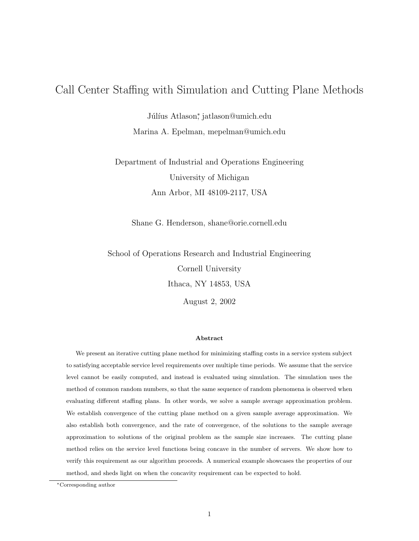## Call Center Staffing with Simulation and Cutting Plane Methods

Júlíus Atlason<sup>\*</sup>, jatlason@umich.edu Marina A. Epelman, mepelman@umich.edu

Department of Industrial and Operations Engineering University of Michigan Ann Arbor, MI 48109-2117, USA

Shane G. Henderson, shane@orie.cornell.edu

School of Operations Research and Industrial Engineering Cornell University Ithaca, NY 14853, USA August 2, 2002

#### Abstract

We present an iterative cutting plane method for minimizing staffing costs in a service system subject to satisfying acceptable service level requirements over multiple time periods. We assume that the service level cannot be easily computed, and instead is evaluated using simulation. The simulation uses the method of common random numbers, so that the same sequence of random phenomena is observed when evaluating different staffing plans. In other words, we solve a sample average approximation problem. We establish convergence of the cutting plane method on a given sample average approximation. We also establish both convergence, and the rate of convergence, of the solutions to the sample average approximation to solutions of the original problem as the sample size increases. The cutting plane method relies on the service level functions being concave in the number of servers. We show how to verify this requirement as our algorithm proceeds. A numerical example showcases the properties of our method, and sheds light on when the concavity requirement can be expected to hold.

<sup>∗</sup>Corresponding author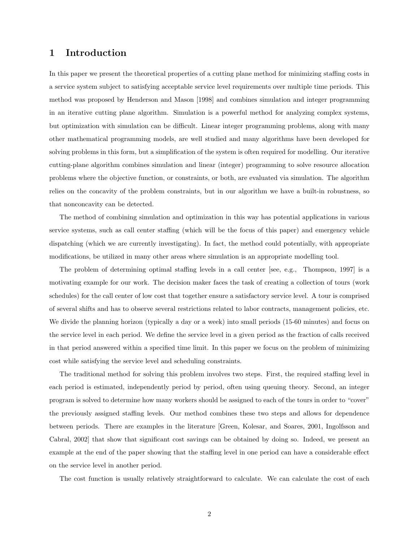## 1 Introduction

In this paper we present the theoretical properties of a cutting plane method for minimizing staffing costs in a service system subject to satisfying acceptable service level requirements over multiple time periods. This method was proposed by Henderson and Mason [1998] and combines simulation and integer programming in an iterative cutting plane algorithm. Simulation is a powerful method for analyzing complex systems, but optimization with simulation can be difficult. Linear integer programming problems, along with many other mathematical programming models, are well studied and many algorithms have been developed for solving problems in this form, but a simplification of the system is often required for modelling. Our iterative cutting-plane algorithm combines simulation and linear (integer) programming to solve resource allocation problems where the objective function, or constraints, or both, are evaluated via simulation. The algorithm relies on the concavity of the problem constraints, but in our algorithm we have a built-in robustness, so that nonconcavity can be detected.

The method of combining simulation and optimization in this way has potential applications in various service systems, such as call center staffing (which will be the focus of this paper) and emergency vehicle dispatching (which we are currently investigating). In fact, the method could potentially, with appropriate modifications, be utilized in many other areas where simulation is an appropriate modelling tool.

The problem of determining optimal staffing levels in a call center [see, e.g., Thompson, 1997] is a motivating example for our work. The decision maker faces the task of creating a collection of tours (work schedules) for the call center of low cost that together ensure a satisfactory service level. A tour is comprised of several shifts and has to observe several restrictions related to labor contracts, management policies, etc. We divide the planning horizon (typically a day or a week) into small periods (15-60 minutes) and focus on the service level in each period. We define the service level in a given period as the fraction of calls received in that period answered within a specified time limit. In this paper we focus on the problem of minimizing cost while satisfying the service level and scheduling constraints.

The traditional method for solving this problem involves two steps. First, the required staffing level in each period is estimated, independently period by period, often using queuing theory. Second, an integer program is solved to determine how many workers should be assigned to each of the tours in order to "cover" the previously assigned staffing levels. Our method combines these two steps and allows for dependence between periods. There are examples in the literature [Green, Kolesar, and Soares, 2001, Ingolfsson and Cabral, 2002] that show that significant cost savings can be obtained by doing so. Indeed, we present an example at the end of the paper showing that the staffing level in one period can have a considerable effect on the service level in another period.

The cost function is usually relatively straightforward to calculate. We can calculate the cost of each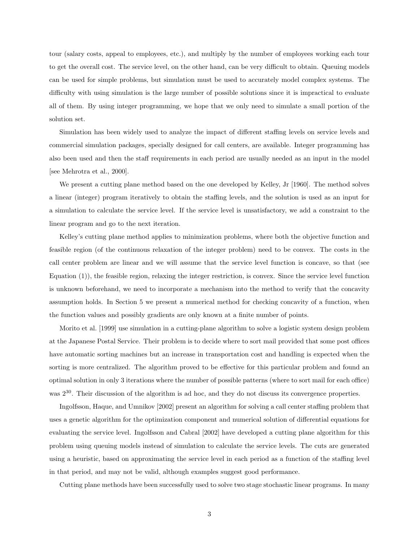tour (salary costs, appeal to employees, etc.), and multiply by the number of employees working each tour to get the overall cost. The service level, on the other hand, can be very difficult to obtain. Queuing models can be used for simple problems, but simulation must be used to accurately model complex systems. The difficulty with using simulation is the large number of possible solutions since it is impractical to evaluate all of them. By using integer programming, we hope that we only need to simulate a small portion of the solution set.

Simulation has been widely used to analyze the impact of different staffing levels on service levels and commercial simulation packages, specially designed for call centers, are available. Integer programming has also been used and then the staff requirements in each period are usually needed as an input in the model [see Mehrotra et al., 2000].

We present a cutting plane method based on the one developed by Kelley, Jr [1960]. The method solves a linear (integer) program iteratively to obtain the staffing levels, and the solution is used as an input for a simulation to calculate the service level. If the service level is unsatisfactory, we add a constraint to the linear program and go to the next iteration.

Kelley's cutting plane method applies to minimization problems, where both the objective function and feasible region (of the continuous relaxation of the integer problem) need to be convex. The costs in the call center problem are linear and we will assume that the service level function is concave, so that (see Equation (1)), the feasible region, relaxing the integer restriction, is convex. Since the service level function is unknown beforehand, we need to incorporate a mechanism into the method to verify that the concavity assumption holds. In Section 5 we present a numerical method for checking concavity of a function, when the function values and possibly gradients are only known at a finite number of points.

Morito et al. [1999] use simulation in a cutting-plane algorithm to solve a logistic system design problem at the Japanese Postal Service. Their problem is to decide where to sort mail provided that some post offices have automatic sorting machines but an increase in transportation cost and handling is expected when the sorting is more centralized. The algorithm proved to be effective for this particular problem and found an optimal solution in only 3 iterations where the number of possible patterns (where to sort mail for each office) was  $2^{30}$ . Their discussion of the algorithm is ad hoc, and they do not discuss its convergence properties.

Ingolfsson, Haque, and Umnikov [2002] present an algorithm for solving a call center staffing problem that uses a genetic algorithm for the optimization component and numerical solution of differential equations for evaluating the service level. Ingolfsson and Cabral [2002] have developed a cutting plane algorithm for this problem using queuing models instead of simulation to calculate the service levels. The cuts are generated using a heuristic, based on approximating the service level in each period as a function of the staffing level in that period, and may not be valid, although examples suggest good performance.

Cutting plane methods have been successfully used to solve two stage stochastic linear programs. In many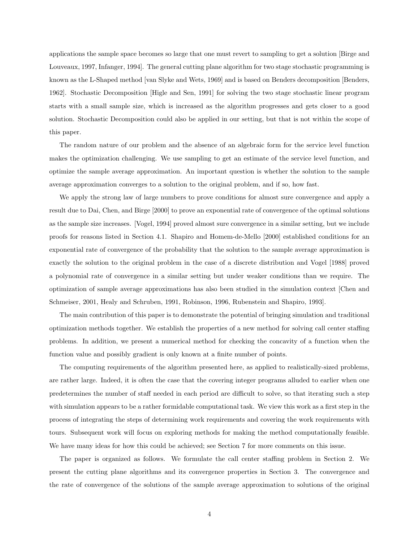applications the sample space becomes so large that one must revert to sampling to get a solution [Birge and Louveaux, 1997, Infanger, 1994]. The general cutting plane algorithm for two stage stochastic programming is known as the L-Shaped method [van Slyke and Wets, 1969] and is based on Benders decomposition [Benders, 1962]. Stochastic Decomposition [Higle and Sen, 1991] for solving the two stage stochastic linear program starts with a small sample size, which is increased as the algorithm progresses and gets closer to a good solution. Stochastic Decomposition could also be applied in our setting, but that is not within the scope of this paper.

The random nature of our problem and the absence of an algebraic form for the service level function makes the optimization challenging. We use sampling to get an estimate of the service level function, and optimize the sample average approximation. An important question is whether the solution to the sample average approximation converges to a solution to the original problem, and if so, how fast.

We apply the strong law of large numbers to prove conditions for almost sure convergence and apply a result due to Dai, Chen, and Birge [2000] to prove an exponential rate of convergence of the optimal solutions as the sample size increases. [Vogel, 1994] proved almost sure convergence in a similar setting, but we include proofs for reasons listed in Section 4.1. Shapiro and Homem-de-Mello [2000] established conditions for an exponential rate of convergence of the probability that the solution to the sample average approximation is exactly the solution to the original problem in the case of a discrete distribution and Vogel [1988] proved a polynomial rate of convergence in a similar setting but under weaker conditions than we require. The optimization of sample average approximations has also been studied in the simulation context [Chen and Schmeiser, 2001, Healy and Schruben, 1991, Robinson, 1996, Rubenstein and Shapiro, 1993].

The main contribution of this paper is to demonstrate the potential of bringing simulation and traditional optimization methods together. We establish the properties of a new method for solving call center staffing problems. In addition, we present a numerical method for checking the concavity of a function when the function value and possibly gradient is only known at a finite number of points.

The computing requirements of the algorithm presented here, as applied to realistically-sized problems, are rather large. Indeed, it is often the case that the covering integer programs alluded to earlier when one predetermines the number of staff needed in each period are difficult to solve, so that iterating such a step with simulation appears to be a rather formidable computational task. We view this work as a first step in the process of integrating the steps of determining work requirements and covering the work requirements with tours. Subsequent work will focus on exploring methods for making the method computationally feasible. We have many ideas for how this could be achieved; see Section 7 for more comments on this issue.

The paper is organized as follows. We formulate the call center staffing problem in Section 2. We present the cutting plane algorithms and its convergence properties in Section 3. The convergence and the rate of convergence of the solutions of the sample average approximation to solutions of the original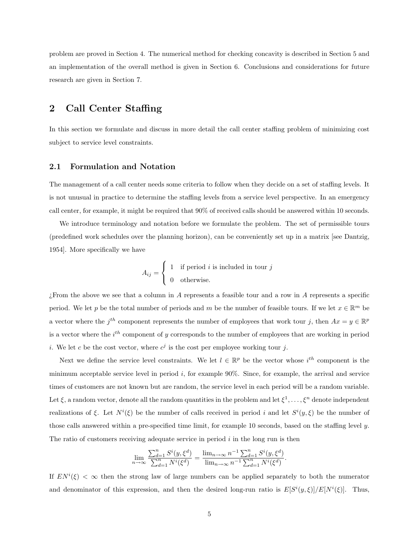problem are proved in Section 4. The numerical method for checking concavity is described in Section 5 and an implementation of the overall method is given in Section 6. Conclusions and considerations for future research are given in Section 7.

## 2 Call Center Staffing

In this section we formulate and discuss in more detail the call center staffing problem of minimizing cost subject to service level constraints.

#### 2.1 Formulation and Notation

The management of a call center needs some criteria to follow when they decide on a set of staffing levels. It is not unusual in practice to determine the staffing levels from a service level perspective. In an emergency call center, for example, it might be required that 90% of received calls should be answered within 10 seconds.

We introduce terminology and notation before we formulate the problem. The set of permissible tours (predefined work schedules over the planning horizon), can be conveniently set up in a matrix [see Dantzig, 1954]. More specifically we have

$$
A_{ij} = \begin{cases} 1 & \text{if period } i \text{ is included in tour } j \\ 0 & \text{otherwise.} \end{cases}
$$

 $E$ . From the above we see that a column in A represents a feasible tour and a row in A represents a specific period. We let p be the total number of periods and m be the number of feasible tours. If we let  $x \in \mathbb{R}^m$  be a vector where the  $j^{th}$  component represents the number of employees that work tour j, then  $Ax = y \in \mathbb{R}^p$ is a vector where the  $i^{th}$  component of y corresponds to the number of employees that are working in period *i*. We let c be the cost vector, where  $c^j$  is the cost per employee working tour j.

Next we define the service level constraints. We let  $l \in \mathbb{R}^p$  be the vector whose  $i^{th}$  component is the minimum acceptable service level in period  $i$ , for example 90%. Since, for example, the arrival and service times of customers are not known but are random, the service level in each period will be a random variable. Let  $\xi$ , a random vector, denote all the random quantities in the problem and let  $\xi^1,\ldots,\xi^n$  denote independent realizations of  $\xi$ . Let  $N^i(\xi)$  be the number of calls received in period i and let  $S^i(y,\xi)$  be the number of those calls answered within a pre-specified time limit, for example 10 seconds, based on the staffing level y. The ratio of customers receiving adequate service in period  $i$  in the long run is then

$$
\lim_{n \to \infty} \frac{\sum_{d=1}^{n} S^{i}(y, \xi^{d})}{\sum_{d=1}^{n} N^{i}(\xi^{d})} = \frac{\lim_{n \to \infty} n^{-1} \sum_{d=1}^{n} S^{i}(y, \xi^{d})}{\lim_{n \to \infty} n^{-1} \sum_{d=1}^{n} N^{i}(\xi^{d})}.
$$

If  $EN^{i}(\xi) < \infty$  then the strong law of large numbers can be applied separately to both the numerator and denominator of this expression, and then the desired long-run ratio is  $E[S^i(y,\xi)]/E[N^i(\xi)]$ . Thus,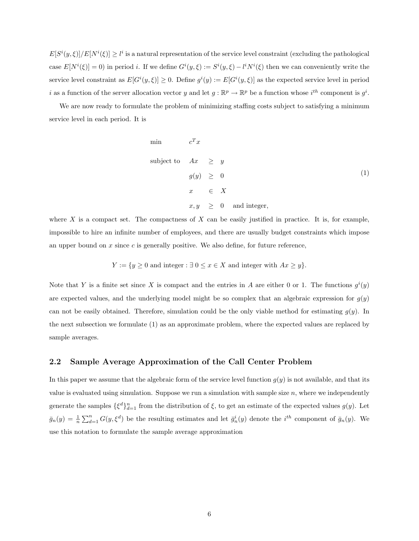$E[S^i(y,\xi)]/E[N^i(\xi)] \geq l^i$  is a natural representation of the service level constraint (excluding the pathological case  $E[N^{i}(\xi)]=0$  in period *i*. If we define  $G^{i}(y,\xi) := S^{i}(y,\xi) - l^{i}N^{i}(\xi)$  then we can conveniently write the service level constraint as  $E[G^i(y,\xi)] \geq 0$ . Define  $g^i(y) := E[G^i(y,\xi)]$  as the expected service level in period i as a function of the server allocation vector y and let  $g : \mathbb{R}^p \to \mathbb{R}^p$  be a function whose  $i^{th}$  component is  $g^i$ .

We are now ready to formulate the problem of minimizing staffing costs subject to satisfying a minimum service level in each period. It is

min 
$$
c^T x
$$
  
\nsubject to  $Ax \geq y$   
\n $g(y) \geq 0$   
\n $x \in X$   
\n $x, y \geq 0$  and integer,

where X is a compact set. The compactness of X can be easily justified in practice. It is, for example, impossible to hire an infinite number of employees, and there are usually budget constraints which impose an upper bound on  $x$  since  $c$  is generally positive. We also define, for future reference,

$$
Y := \{ y \ge 0 \text{ and integer} : \exists 0 \le x \in X \text{ and integer with } Ax \ge y \}.
$$

Note that Y is a finite set since X is compact and the entries in A are either 0 or 1. The functions  $g^{i}(y)$ are expected values, and the underlying model might be so complex that an algebraic expression for  $g(y)$ can not be easily obtained. Therefore, simulation could be the only viable method for estimating  $g(y)$ . In the next subsection we formulate (1) as an approximate problem, where the expected values are replaced by sample averages.

#### 2.2 Sample Average Approximation of the Call Center Problem

In this paper we assume that the algebraic form of the service level function  $g(y)$  is not available, and that its value is evaluated using simulation. Suppose we run a simulation with sample size  $n$ , where we independently generate the samples  $\{\xi^d\}_{d=1}^n$  from the distribution of  $\xi$ , to get an estimate of the expected values  $g(y)$ . Let  $\bar{g}_n(y) = \frac{1}{n}$  $\sum_{d=1}^{n} G(y, \xi^d)$  be the resulting estimates and let  $\bar{g}_n^i(y)$  denote the  $i^{th}$  component of  $\bar{g}_n(y)$ . We use this notation to formulate the sample average approximation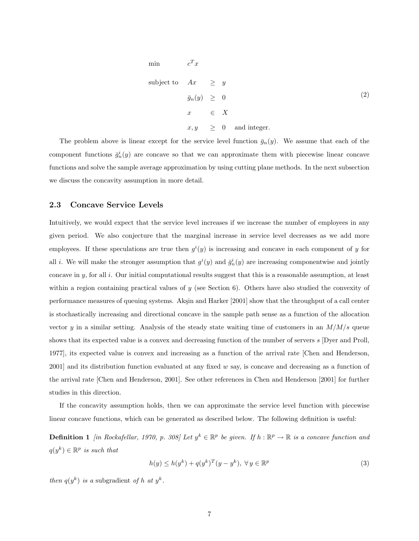min  $c^T x$ subject to  $Ax \geq y$  $\bar{g}_n(y) \geq 0$  $x \in X$  $x, y \geq 0$  and integer. (2)

The problem above is linear except for the service level function  $\bar{g}_n(y)$ . We assume that each of the component functions  $\bar{g}_n^i(y)$  are concave so that we can approximate them with piecewise linear concave functions and solve the sample average approximation by using cutting plane methods. In the next subsection we discuss the concavity assumption in more detail.

#### 2.3 Concave Service Levels

Intuitively, we would expect that the service level increases if we increase the number of employees in any given period. We also conjecture that the marginal increase in service level decreases as we add more employees. If these speculations are true then  $g^{i}(y)$  is increasing and concave in each component of y for all *i*. We will make the stronger assumption that  $g^{i}(y)$  and  $\bar{g}_{n}^{i}(y)$  are increasing componentwise and jointly concave in  $y$ , for all i. Our initial computational results suggest that this is a reasonable assumption, at least within a region containing practical values of  $y$  (see Section 6). Others have also studied the convexity of performance measures of queuing systems. Aksin and Harker [2001] show that the throughput of a call center is stochastically increasing and directional concave in the sample path sense as a function of the allocation vector y in a similar setting. Analysis of the steady state waiting time of customers in an  $M/M/s$  queue shows that its expected value is a convex and decreasing function of the number of servers s [Dyer and Proll, 1977], its expected value is convex and increasing as a function of the arrival rate [Chen and Henderson, 2001] and its distribution function evaluated at any fixed w say, is concave and decreasing as a function of the arrival rate [Chen and Henderson, 2001]. See other references in Chen and Henderson [2001] for further studies in this direction.

If the concavity assumption holds, then we can approximate the service level function with piecewise linear concave functions, which can be generated as described below. The following definition is useful:

**Definition 1** [in Rockafellar, 1970, p. 308] Let  $y^k \in \mathbb{R}^p$  be given. If  $h : \mathbb{R}^p \to \mathbb{R}$  is a concave function and  $q(y^k) \in \mathbb{R}^p$  is such that

$$
h(y) \le h(y^k) + q(y^k)^T (y - y^k), \ \forall \, y \in \mathbb{R}^p \tag{3}
$$

then  $q(y^k)$  is a subgradient of h at  $y^k$ .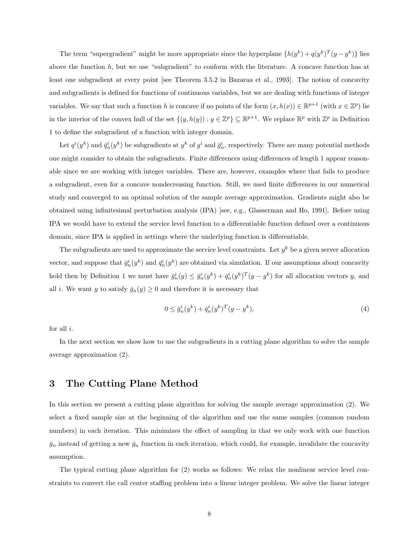The term "supergradient" might be more appropriate since the hyperplane  $\{h(y^k) + q(y^k)^T(y - y^k)\}\$ lies above the function  $h$ , but we use "subgradient" to conform with the literature. A concave function has at least one subgradient at every point [see Theorem 3.5.2 in Bazaraa et al., 1993]. The notion of concavity and subgradients is defined for functions of continuous variables, but we are dealing with functions of integer variables. We say that such a function h is concave if no points of the form  $(x, h(x)) \in \mathbb{R}^{p+1}$  (with  $x \in \mathbb{Z}^p$ ) lie in the interior of the convex hull of the set  $\{(y, h(y)) : y \in \mathbb{Z}^p\} \subseteq \mathbb{R}^{p+1}$ . We replace  $\mathbb{R}^p$  with  $\mathbb{Z}^p$  in Definition 1 to define the subgradient of a function with integer domain.

Let  $q^i(y^k)$  and  $\bar{q}_n^i(y^k)$  be subgradients at  $y^k$  of  $g^i$  and  $\bar{g}_n^i$ , respectively. There are many potential methods one might consider to obtain the subgradients. Finite differences using differences of length 1 appear reasonable since we are working with integer variables. There are, however, examples where that fails to produce a subgradient, even for a concave nondecreasing function. Still, we used finite differences in our numerical study and converged to an optimal solution of the sample average approximation. Gradients might also be obtained using infinitesimal perturbation analysis (IPA) [see, e.g., Glasserman and Ho, 1991]. Before using IPA we would have to extend the service level function to a differentiable function defined over a continuous domain, since IPA is applied in settings where the underlying function is differentiable.

The subgradients are used to approximate the service level constraints. Let  $y^k$  be a given server allocation vector, and suppose that  $\bar{g}_n^i(y^k)$  and  $\bar{q}_n^i(y^k)$  are obtained via simulation. If our assumptions about concavity hold then by Definition 1 we must have  $\bar{g}_n^i(y) \leq \bar{g}_n^i(y^k) + \bar{q}_n^i(y^k)^T(y - y^k)$  for all allocation vectors y, and all *i*. We want y to satisfy  $\bar{g}_n(y) \geq 0$  and therefore it is necessary that

$$
0 \le \bar{g}_n^i(y^k) + \bar{q}_n^i(y^k)^T (y - y^k), \tag{4}
$$

for all i.

In the next section we show how to use the subgradients in a cutting plane algorithm to solve the sample average approximation (2).

## 3 The Cutting Plane Method

In this section we present a cutting plane algorithm for solving the sample average approximation (2). We select a fixed sample size at the beginning of the algorithm and use the same samples (common random numbers) in each iteration. This minimizes the effect of sampling in that we only work with one function  $\bar{g}_n$  instead of getting a new  $\bar{g}_n$  function in each iteration, which could, for example, invalidate the concavity assumption.

The typical cutting plane algorithm for (2) works as follows: We relax the nonlinear service level constraints to convert the call center staffing problem into a linear integer problem. We solve the linear integer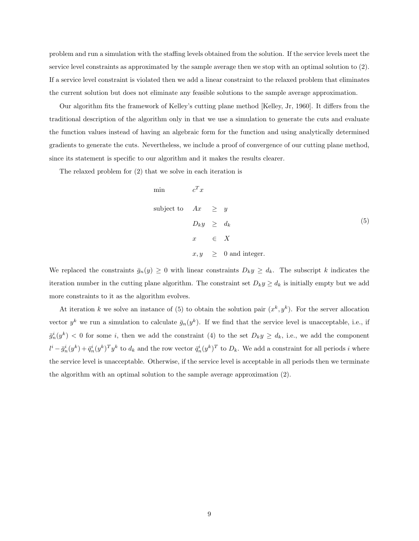problem and run a simulation with the staffing levels obtained from the solution. If the service levels meet the service level constraints as approximated by the sample average then we stop with an optimal solution to (2). If a service level constraint is violated then we add a linear constraint to the relaxed problem that eliminates the current solution but does not eliminate any feasible solutions to the sample average approximation.

Our algorithm fits the framework of Kelley's cutting plane method [Kelley, Jr, 1960]. It differs from the traditional description of the algorithm only in that we use a simulation to generate the cuts and evaluate the function values instead of having an algebraic form for the function and using analytically determined gradients to generate the cuts. Nevertheless, we include a proof of convergence of our cutting plane method, since its statement is specific to our algorithm and it makes the results clearer.

The relaxed problem for (2) that we solve in each iteration is

$$
\begin{array}{rcl}\n\text{min} & c^T x \\
\text{subject to} & Ax & \geq y \\
& D_k y & \geq d_k \\
& x & \in X \\
& x, y & \geq 0 \text{ and integer.}\n\end{array} \tag{5}
$$

We replaced the constraints  $\bar{g}_n(y) \geq 0$  with linear constraints  $D_k y \geq d_k$ . The subscript k indicates the iteration number in the cutting plane algorithm. The constraint set  $D_k y \geq d_k$  is initially empty but we add more constraints to it as the algorithm evolves.

At iteration k we solve an instance of (5) to obtain the solution pair  $(x^k, y^k)$ . For the server allocation vector  $y^k$  we run a simulation to calculate  $\bar{g}_n(y^k)$ . If we find that the service level is unacceptable, i.e., if  $\bar{g}_n^i(y^k) < 0$  for some i, then we add the constraint (4) to the set  $D_k y \ge d_k$ , i.e., we add the component  $l^{i} - \bar{g}_{n}^{i}(y^{k}) + \bar{q}_{n}^{i}(y^{k})^{T}y^{k}$  to  $d_{k}$  and the row vector  $\bar{q}_{n}^{i}(y^{k})^{T}$  to  $D_{k}$ . We add a constraint for all periods i where the service level is unacceptable. Otherwise, if the service level is acceptable in all periods then we terminate the algorithm with an optimal solution to the sample average approximation (2).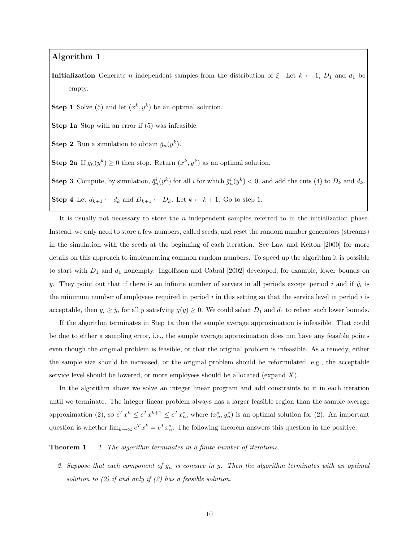### Algorithm 1

**Initialization** Generate *n* independent samples from the distribution of  $\xi$ . Let  $k \leftarrow 1$ ,  $D_1$  and  $d_1$  be empty.

**Step 1** Solve (5) and let  $(x^k, y^k)$  be an optimal solution.

Step 1a Stop with an error if (5) was infeasible.

**Step 2** Run a simulation to obtain  $\bar{g}_n(y^k)$ .

**Step 2a** If  $\bar{g}_n(y^k) \ge 0$  then stop. Return  $(x^k, y^k)$  as an optimal solution.

**Step 3** Compute, by simulation,  $\bar{q}_n^i(y^k)$  for all i for which  $\bar{g}_n^i(y^k) < 0$ , and add the cuts (4) to  $D_k$  and  $d_k$ .

**Step 4** Let  $d_{k+1} \leftarrow d_k$  and  $D_{k+1} \leftarrow D_k$ . Let  $k \leftarrow k+1$ . Go to step 1.

It is usually not necessary to store the n independent samples referred to in the initialization phase. Instead, we only need to store a few numbers, called seeds, and reset the random number generators (streams) in the simulation with the seeds at the beginning of each iteration. See Law and Kelton [2000] for more details on this approach to implementing common random numbers. To speed up the algorithm it is possible to start with  $D_1$  and  $d_1$  nonempty. Ingolfsson and Cabral [2002] developed, for example, lower bounds on y. They point out that if there is an infinite number of servers in all periods except period i and if  $\tilde{y}_i$  is the minimum number of employees required in period  $i$  in this setting so that the service level in period  $i$  is acceptable, then  $y_i \geq \tilde{y}_i$  for all y satisfying  $g(y) \geq 0$ . We could select  $D_1$  and  $d_1$  to reflect such lower bounds.

If the algorithm terminates in Step 1a then the sample average approximation is infeasible. That could be due to either a sampling error, i.e., the sample average approximation does not have any feasible points even though the original problem is feasible, or that the original problem is infeasible. As a remedy, either the sample size should be increased, or the original problem should be reformulated, e.g., the acceptable service level should be lowered, or more employees should be allocated (expand  $X$ ).

In the algorithm above we solve an integer linear program and add constraints to it in each iteration until we terminate. The integer linear problem always has a larger feasible region than the sample average approximation (2), so  $c^T x^k \leq c^T x^{k+1} \leq c^T x_n^*$ , where  $(x_n^*, y_n^*)$  is an optimal solution for (2). An important question is whether  $\lim_{k\to\infty} c^T x^k = c^T x^*_n$ . The following theorem answers this question in the positive.

#### **Theorem 1** 1. The algorithm terminates in a finite number of iterations.

2. Suppose that each component of  $\bar{g}_n$  is concave in y. Then the algorithm terminates with an optimal solution to  $(2)$  if and only if  $(2)$  has a feasible solution.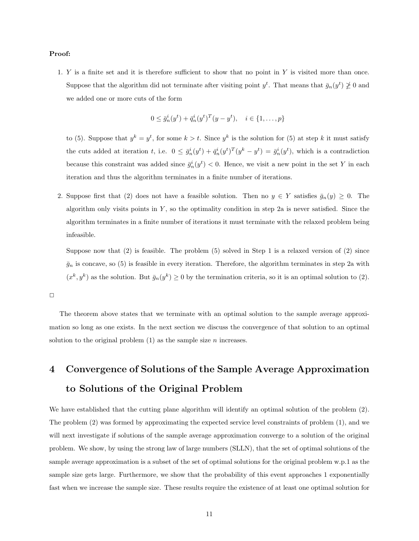#### Proof:

1.  $Y$  is a finite set and it is therefore sufficient to show that no point in  $Y$  is visited more than once. Suppose that the algorithm did not terminate after visiting point  $y^t$ . That means that  $\bar{g}_n(y^t) \ngeq 0$  and we added one or more cuts of the form

$$
0 \le \bar{g}_n^i(y^t) + \bar{q}_n^i(y^t)^T (y - y^t), \quad i \in \{1, \dots, p\}
$$

to (5). Suppose that  $y^k = y^t$ , for some  $k > t$ . Since  $y^k$  is the solution for (5) at step k it must satisfy the cuts added at iteration t, i.e.  $0 \leq \bar{g}_n^i(y^t) + \bar{q}_n^i(y^t)^T(y^k - y^t) = \bar{g}_n^i(y^t)$ , which is a contradiction because this constraint was added since  $\bar{g}_n^i(y^t) < 0$ . Hence, we visit a new point in the set Y in each iteration and thus the algorithm terminates in a finite number of iterations.

2. Suppose first that (2) does not have a feasible solution. Then no  $y \in Y$  satisfies  $\bar{g}_n(y) \geq 0$ . The algorithm only visits points in  $Y$ , so the optimality condition in step 2a is never satisfied. Since the algorithm terminates in a finite number of iterations it must terminate with the relaxed problem being infeasible.

Suppose now that (2) is feasible. The problem (5) solved in Step 1 is a relaxed version of (2) since  $\bar{g}_n$  is concave, so (5) is feasible in every iteration. Therefore, the algorithm terminates in step 2a with  $(x^k, y^k)$  as the solution. But  $\bar{g}_n(y^k) \ge 0$  by the termination criteria, so it is an optimal solution to (2).

 $\Box$ 

The theorem above states that we terminate with an optimal solution to the sample average approximation so long as one exists. In the next section we discuss the convergence of that solution to an optimal solution to the original problem  $(1)$  as the sample size *n* increases.

# 4 Convergence of Solutions of the Sample Average Approximation to Solutions of the Original Problem

We have established that the cutting plane algorithm will identify an optimal solution of the problem (2). The problem (2) was formed by approximating the expected service level constraints of problem (1), and we will next investigate if solutions of the sample average approximation converge to a solution of the original problem. We show, by using the strong law of large numbers (SLLN), that the set of optimal solutions of the sample average approximation is a subset of the set of optimal solutions for the original problem w.p.1 as the sample size gets large. Furthermore, we show that the probability of this event approaches 1 exponentially fast when we increase the sample size. These results require the existence of at least one optimal solution for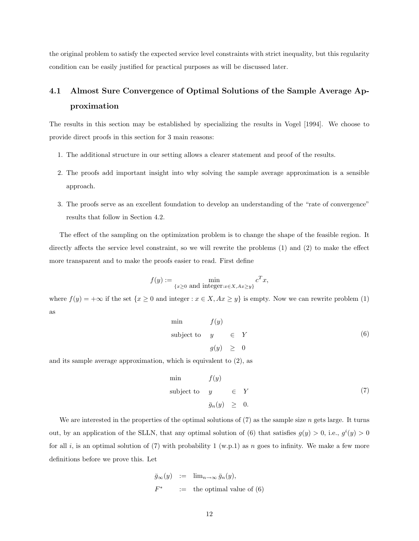the original problem to satisfy the expected service level constraints with strict inequality, but this regularity condition can be easily justified for practical purposes as will be discussed later.

## 4.1 Almost Sure Convergence of Optimal Solutions of the Sample Average Approximation

The results in this section may be established by specializing the results in Vogel [1994]. We choose to provide direct proofs in this section for 3 main reasons:

- 1. The additional structure in our setting allows a clearer statement and proof of the results.
- 2. The proofs add important insight into why solving the sample average approximation is a sensible approach.
- 3. The proofs serve as an excellent foundation to develop an understanding of the "rate of convergence" results that follow in Section 4.2.

The effect of the sampling on the optimization problem is to change the shape of the feasible region. It directly affects the service level constraint, so we will rewrite the problems  $(1)$  and  $(2)$  to make the effect more transparent and to make the proofs easier to read. First define

$$
f(y) := \min_{\{x \ge 0 \text{ and integer}: x \in X, Ax \ge y\}} c^T x,
$$

where  $f(y) = +\infty$  if the set  $\{x \ge 0 \text{ and integer} : x \in X, Ax \ge y\}$  is empty. Now we can rewrite problem (1) as

$$
\begin{array}{ll}\n\text{min} & f(y) \\
\text{subject to} & y \quad \in \quad Y \\
& g(y) \quad \geq \quad 0\n\end{array} \tag{6}
$$

and its sample average approximation, which is equivalent to (2), as

$$
\begin{array}{ll}\n\text{min} & f(y) \\
\text{subject to} & y \quad \in Y \\
& \bar{g}_n(y) \geq 0.\n\end{array} \tag{7}
$$

We are interested in the properties of the optimal solutions of  $(7)$  as the sample size n gets large. It turns out, by an application of the SLLN, that any optimal solution of (6) that satisfies  $g(y) > 0$ , i.e.,  $g^{i}(y) > 0$ for all i, is an optimal solution of (7) with probability 1 (w.p.1) as n goes to infinity. We make a few more definitions before we prove this. Let

$$
\overline{g}_{\infty}(y) := \lim_{n \to \infty} \overline{g}_n(y),
$$
  

$$
F^* := \text{the optimal value of (6)}
$$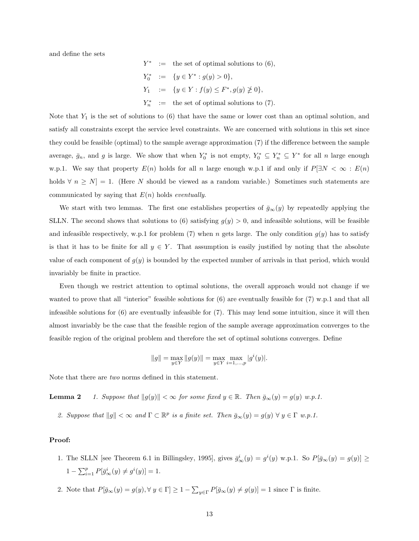and define the sets

Y ∗  $:=$  the set of optimal solutions to  $(6)$ ,  $Y_0^* := \{ y \in Y^* : g(y) > 0 \},\$  $Y_1$  := { $y \in Y : f(y) \leq F^*, g(y) \not\geq 0$ },  $Y_n^*$  := the set of optimal solutions to (7).

Note that  $Y_1$  is the set of solutions to  $(6)$  that have the same or lower cost than an optimal solution, and satisfy all constraints except the service level constraints. We are concerned with solutions in this set since they could be feasible (optimal) to the sample average approximation (7) if the difference between the sample average,  $\bar{g}_n$ , and g is large. We show that when  $Y_0^*$  is not empty,  $Y_0^* \subseteq Y_n^* \subseteq Y^*$  for all n large enough w.p.1. We say that property  $E(n)$  holds for all n large enough w.p.1 if and only if  $P[\exists N < \infty : E(n)]$ holds  $\forall n \geq N$ ] = 1. (Here N should be viewed as a random variable.) Sometimes such statements are communicated by saying that  $E(n)$  holds *eventually*.

We start with two lemmas. The first one establishes properties of  $\bar{g}_{\infty}(y)$  by repeatedly applying the SLLN. The second shows that solutions to (6) satisfying  $g(y) > 0$ , and infeasible solutions, will be feasible and infeasible respectively, w.p.1 for problem (7) when n gets large. The only condition  $q(y)$  has to satisfy is that it has to be finite for all  $y \in Y$ . That assumption is easily justified by noting that the absolute value of each component of  $g(y)$  is bounded by the expected number of arrivals in that period, which would invariably be finite in practice.

Even though we restrict attention to optimal solutions, the overall approach would not change if we wanted to prove that all "interior" feasible solutions for  $(6)$  are eventually feasible for  $(7)$  w.p.1 and that all infeasible solutions for (6) are eventually infeasible for (7). This may lend some intuition, since it will then almost invariably be the case that the feasible region of the sample average approximation converges to the feasible region of the original problem and therefore the set of optimal solutions converges. Define

$$
||g|| = \max_{y \in Y} ||g(y)|| = \max_{y \in Y} \max_{i=1,\dots,p} |g^{i}(y)|.
$$

Note that there are two norms defined in this statement.

**Lemma 2** 1. Suppose that  $||g(y)|| < \infty$  for some fixed  $y \in \mathbb{R}$ . Then  $\bar{g}_{\infty}(y) = g(y)$  w.p.1.

2. Suppose that  $||g|| < \infty$  and  $\Gamma \subset \mathbb{R}^p$  is a finite set. Then  $\bar{g}_{\infty}(y) = g(y) \ \forall \ y \in \Gamma \ w.p.1$ .

#### Proof:

- 1. The SLLN [see Theorem 6.1 in Billingsley, 1995], gives  $\bar{g}^i_\infty(y) = g^i(y)$  w.p.1. So  $P[\bar{g}_\infty(y) = g(y)] \ge$  $1 - \sum_{i=1}^{p} P[\bar{g}_{\infty}^{i}(y) \neq g^{i}(y)] = 1.$
- 2. Note that  $P[\bar{g}_{\infty}(y) = g(y), \forall y \in \Gamma] \ge 1 \sum_{y \in \Gamma} P[\bar{g}_{\infty}(y) \neq g(y)] = 1$  since  $\Gamma$  is finite.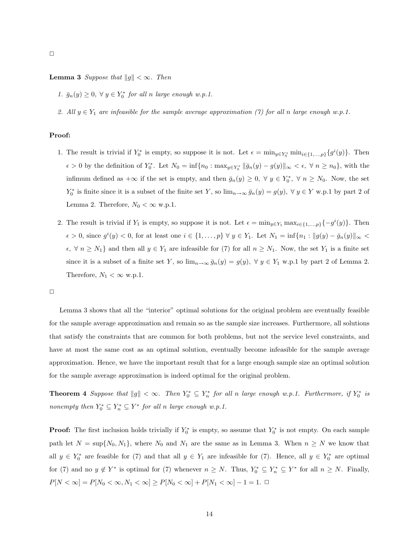- **Lemma 3** Suppose that  $||g|| < \infty$ . Then
	- 1.  $\bar{g}_n(y) \geq 0$ ,  $\forall y \in Y_0^*$  for all n large enough w.p.1.
	- 2. All  $y \in Y_1$  are infeasible for the sample average approximation (7) for all n large enough w.p.1.

#### Proof:

- 1. The result is trivial if  $Y_0^*$  is empty, so suppose it is not. Let  $\epsilon = \min_{y \in Y_0^*} \min_{i \in \{1, ..., p\}} \{g^i(y)\}\.$  Then  $\epsilon > 0$  by the definition of  $Y_0^*$ . Let  $N_0 = \inf\{n_0 : \max_{y \in Y_0^*} ||\bar{g}_n(y) - g(y)||_{\infty} < \epsilon, \forall n \geq n_0\}$ , with the infimum defined as  $+\infty$  if the set is empty, and then  $\bar{g}_n(y) \geq 0$ ,  $\forall y \in Y_0^*$ ,  $\forall n \geq N_0$ . Now, the set  $Y_0^*$  is finite since it is a subset of the finite set Y, so  $\lim_{n\to\infty} \bar{g}_n(y) = g(y)$ ,  $\forall y \in Y$  w.p.1 by part 2 of Lemma 2. Therefore,  $N_0 < \infty$  w.p.1.
- 2. The result is trivial if  $Y_1$  is empty, so suppose it is not. Let  $\epsilon = \min_{y \in Y_1} \max_{i \in \{1,...,p\}} \{-g^i(y)\}.$  Then  $\epsilon > 0$ , since  $g^{i}(y) < 0$ , for at least one  $i \in \{1, ..., p\}$   $\forall y \in Y_1$ . Let  $N_1 = \inf\{n_1 : ||g(y) - \bar{g}_n(y)||_{\infty}$  $\{\epsilon, \forall n \geq N_1\}$  and then all  $y \in Y_1$  are infeasible for (7) for all  $n \geq N_1$ . Now, the set  $Y_1$  is a finite set since it is a subset of a finite set Y, so  $\lim_{n\to\infty} \bar{g}_n(y) = g(y)$ ,  $\forall y \in Y_1$  w.p.1 by part 2 of Lemma 2. Therefore,  $N_1 < \infty$  w.p.1.

Lemma 3 shows that all the "interior" optimal solutions for the original problem are eventually feasible for the sample average approximation and remain so as the sample size increases. Furthermore, all solutions that satisfy the constraints that are common for both problems, but not the service level constraints, and have at most the same cost as an optimal solution, eventually become infeasible for the sample average approximation. Hence, we have the important result that for a large enough sample size an optimal solution for the sample average approximation is indeed optimal for the original problem.

**Theorem 4** Suppose that  $||g|| < \infty$ . Then  $Y_0^* \subseteq Y_n^*$  for all n large enough w.p.1. Furthermore, if  $Y_0^*$  is nonempty then  $Y_0^* \subseteq Y_n^* \subseteq Y^*$  for all n large enough w.p.1.

**Proof:** The first inclusion holds trivially if  $Y_0^*$  is empty, so assume that  $Y_0^*$  is not empty. On each sample path let  $N = \sup\{N_0, N_1\}$ , where  $N_0$  and  $N_1$  are the same as in Lemma 3. When  $n \geq N$  we know that all  $y \in Y_0^*$  are feasible for (7) and that all  $y \in Y_1$  are infeasible for (7). Hence, all  $y \in Y_0^*$  are optimal for (7) and no  $y \notin Y^*$  is optimal for (7) whenever  $n \geq N$ . Thus,  $Y_0^* \subseteq Y_n^* \subseteq Y^*$  for all  $n \geq N$ . Finally,  $P[N < \infty] = P[N_0 < \infty, N_1 < \infty] \ge P[N_0 < \infty] + P[N_1 < \infty] - 1 = 1.$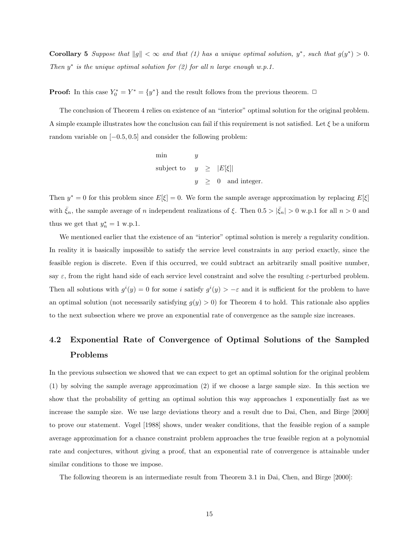Corollary 5 Suppose that  $||g|| < \infty$  and that (1) has a unique optimal solution, y<sup>\*</sup>, such that  $g(y^*) > 0$ . Then  $y^*$  is the unique optimal solution for (2) for all n large enough w.p.1.

**Proof:** In this case  $Y_0^* = Y^* = \{y^*\}$  and the result follows from the previous theorem.  $\Box$ 

The conclusion of Theorem 4 relies on existence of an "interior" optimal solution for the original problem. A simple example illustrates how the conclusion can fail if this requirement is not satisfied. Let  $\xi$  be a uniform random variable on [−0.5, 0.5] and consider the following problem:

min 
$$
y
$$
  
subject to  $y \geq |E[\xi]|$   
 $y \geq 0$  and integer.

Then  $y^* = 0$  for this problem since  $E[\xi] = 0$ . We form the sample average approximation by replacing  $E[\xi]$ with  $\bar{\xi}_n$ , the sample average of n independent realizations of  $\xi$ . Then  $0.5 > |\bar{\xi}_n| > 0$  w.p.1 for all  $n > 0$  and thus we get that  $y_n^* = 1$  w.p.1.

We mentioned earlier that the existence of an "interior" optimal solution is merely a regularity condition. In reality it is basically impossible to satisfy the service level constraints in any period exactly, since the feasible region is discrete. Even if this occurred, we could subtract an arbitrarily small positive number, say  $\varepsilon$ , from the right hand side of each service level constraint and solve the resulting  $\varepsilon$ -perturbed problem. Then all solutions with  $g^{i}(y) = 0$  for some i satisfy  $g^{i}(y) > -\varepsilon$  and it is sufficient for the problem to have an optimal solution (not necessarily satisfying  $g(y) > 0$ ) for Theorem 4 to hold. This rationale also applies to the next subsection where we prove an exponential rate of convergence as the sample size increases.

## 4.2 Exponential Rate of Convergence of Optimal Solutions of the Sampled Problems

In the previous subsection we showed that we can expect to get an optimal solution for the original problem (1) by solving the sample average approximation (2) if we choose a large sample size. In this section we show that the probability of getting an optimal solution this way approaches 1 exponentially fast as we increase the sample size. We use large deviations theory and a result due to Dai, Chen, and Birge [2000] to prove our statement. Vogel [1988] shows, under weaker conditions, that the feasible region of a sample average approximation for a chance constraint problem approaches the true feasible region at a polynomial rate and conjectures, without giving a proof, that an exponential rate of convergence is attainable under similar conditions to those we impose.

The following theorem is an intermediate result from Theorem 3.1 in Dai, Chen, and Birge [2000]: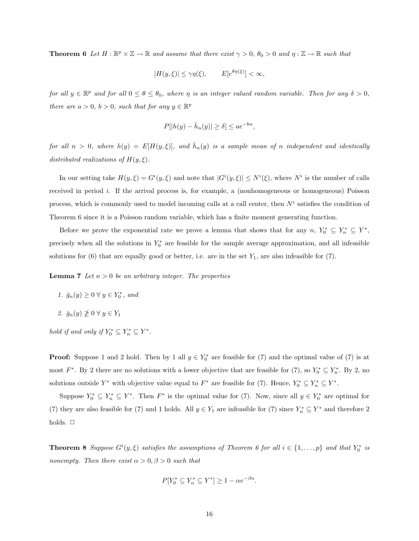**Theorem 6** Let  $H : \mathbb{R}^p \times \mathbb{Z} \to \mathbb{R}$  and assume that there exist  $\gamma > 0$ ,  $\theta_0 > 0$  and  $\eta : \mathbb{Z} \to \mathbb{R}$  such that

$$
|H(y,\xi)| \le \gamma \eta(\xi), \qquad E[e^{\theta \eta(\xi)}] < \infty,
$$

for all  $y \in \mathbb{R}^p$  and for all  $0 \le \theta \le \theta_0$ , where  $\eta$  is an integer valued random variable. Then for any  $\delta > 0$ , there are  $a > 0$ ,  $b > 0$ , such that for any  $y \in \mathbb{R}^p$ 

$$
P[|h(y) - \bar{h}_n(y)| \ge \delta] \le ae^{-bn},
$$

for all  $n > 0$ , where  $h(y) = E[H(y, \xi)]$ , and  $\bar{h}_n(y)$  is a sample mean of n independent and identically distributed realizations of  $H(y,\xi)$ .

In our setting take  $H(y,\xi) = G^{i}(y,\xi)$  and note that  $|G^{i}(y,\xi)| \le N^{i}(\xi)$ , where  $N^{i}$  is the number of calls received in period i. If the arrival process is, for example, a (nonhomogeneous or homogeneous) Poisson process, which is commonly used to model incoming calls at a call center, then  $N<sup>i</sup>$  satisfies the condition of Theorem 6 since it is a Poisson random variable, which has a finite moment generating function.

Before we prove the exponential rate we prove a lemma that shows that for any  $n, Y_0^* \subseteq Y_n^* \subseteq Y^*$ , precisely when all the solutions in  $Y_0^*$  are feasible for the sample average approximation, and all infeasible solutions for  $(6)$  that are equally good or better, i.e. are in the set  $Y_1$ , are also infeasible for  $(7)$ .

**Lemma 7** Let  $n > 0$  be an arbitrary integer. The properties

- 1.  $\bar{g}_n(y) \geq 0 \ \forall \ y \in Y_0^*$ , and
- 2.  $\bar{g}_n(y) \not\geq 0 \ \forall \ y \in Y_1$

hold if and only if  $Y_0^* \subseteq Y_n^* \subseteq Y^*$ .

**Proof:** Suppose 1 and 2 hold. Then by 1 all  $y \in Y_0^*$  are feasible for (7) and the optimal value of (7) is at most  $F^*$ . By 2 there are no solutions with a lower objective that are feasible for (7), so  $Y_0^* \subseteq Y_n^*$ . By 2, no solutions outside Y<sup>\*</sup> with objective value equal to  $F^*$  are feasible for (7). Hence,  $Y_0^* \subseteq Y_n^* \subseteq Y^*$ .

Suppose  $Y_0^* \subseteq Y_*^* \subseteq Y^*$ . Then  $F^*$  is the optimal value for (7). Now, since all  $y \in Y_0^*$  are optimal for (7) they are also feasible for (7) and 1 holds. All  $y \in Y_1$  are infeasible for (7) since  $Y_n^* \subseteq Y^*$  and therefore 2 holds.  $\Box$ 

**Theorem 8** Suppose  $G^i(y,\xi)$  satisfies the assumptions of Theorem 6 for all  $i \in \{1,\ldots,p\}$  and that  $Y_0^*$  is nonempty. Then there exist  $\alpha > 0, \beta > 0$  such that

$$
P[Y_0^* \subseteq Y_n^* \subseteq Y^*] \ge 1 - \alpha e^{-\beta n}.
$$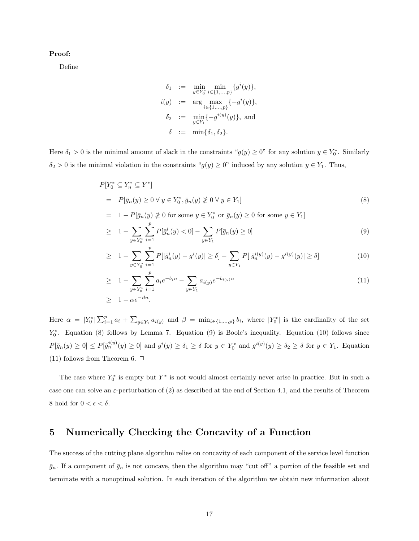#### Proof:

Define

$$
\delta_1 := \min_{y \in Y_0^*} \min_{i \in \{1, ..., p\}} \{g^i(y)\},
$$
  
\n
$$
i(y) := \arg \max_{i \in \{1, ..., p\}} \{-g^i(y)\},
$$
  
\n
$$
\delta_2 := \min_{y \in Y_1} \{-g^{i(y)}(y)\}, \text{ and}
$$
  
\n
$$
\delta := \min \{\delta_1, \delta_2\}.
$$

Here  $\delta_1 > 0$  is the minimal amount of slack in the constraints " $g(y) \geq 0$ " for any solution  $y \in Y_0^*$ . Similarly  $\delta_2 > 0$  is the minimal violation in the constraints " $g(y) \geq 0$ " induced by any solution  $y \in Y_1$ . Thus,

$$
P[Y_0^* \subseteq Y_n^* \subseteq Y^*]
$$
  
=  $P[\bar{g}_n(y) \ge 0 \ \forall \ y \in Y_0^*, \bar{g}_n(y) \not\ge 0 \ \forall \ y \in Y_1]$  (8)

$$
= 1 - P[\bar{g}_n(y) \ngeq 0 \text{ for some } y \in Y_0^* \text{ or } \bar{g}_n(y) \geq 0 \text{ for some } y \in Y_1]
$$
  
\n
$$
\geq 1 - \sum_{y \in Y_0^*} \sum_{i=1}^p P[\bar{g}_n^i(y) < 0] - \sum_{y \in Y_1} P[\bar{g}_n(y) \geq 0]
$$
\n(9)

$$
\geq 1 - \sum_{y \in Y_0^*} \sum_{i=1}^p P[|\bar{g}_n^i(y) - g^i(y)| \geq \delta] - \sum_{y \in Y_1} P[|\bar{g}_n^{i(y)}(y) - g^{i(y)}(y)| \geq \delta] \tag{10}
$$

$$
\geq 1 - \sum_{y \in Y_0^*} \sum_{i=1}^p a_i e^{-b_i n} - \sum_{y \in Y_1} a_{i(y)} e^{-b_{i(y)} n} \tag{11}
$$
\n
$$
\geq 1 - \alpha e^{-\beta n}.
$$

Here  $\alpha = |Y_0^*| \sum_{i=1}^p a_i + \sum_{i=1}^p a_i$  $y \in Y_1$  a<sub>i</sub>(y) and  $\beta = \min_{i \in \{1, ..., p\}} b_i$ , where  $|Y_0^*|$  is the cardinality of the set  $Y_0^*$ . Equation (8) follows by Lemma 7. Equation (9) is Boole's inequality. Equation (10) follows since  $P[\bar{g}_n(y) \geq 0] \leq P[\bar{g}_n^{i(y)}(y) \geq 0]$  and  $g^{i}(y) \geq \delta_1 \geq \delta$  for  $y \in Y_0^*$  and  $g^{i(y)}(y) \geq \delta_2 \geq \delta$  for  $y \in Y_1$ . Equation (11) follows from Theorem 6.  $\Box$ 

The case where  $Y_0^*$  is empty but  $Y^*$  is not would almost certainly never arise in practice. But in such a case one can solve an  $\varepsilon$ -perturbation of (2) as described at the end of Section 4.1, and the results of Theorem 8 hold for  $0 < \epsilon < \delta$ .

### 5 Numerically Checking the Concavity of a Function

The success of the cutting plane algorithm relies on concavity of each component of the service level function  $\bar{g}_n$ . If a component of  $\bar{g}_n$  is not concave, then the algorithm may "cut off" a portion of the feasible set and terminate with a nonoptimal solution. In each iteration of the algorithm we obtain new information about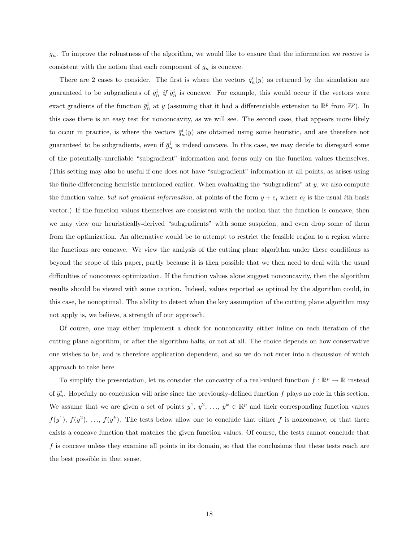$\bar{g}_n$ . To improve the robustness of the algorithm, we would like to ensure that the information we receive is consistent with the notion that each component of  $\bar{g}_n$  is concave.

There are 2 cases to consider. The first is where the vectors  $\bar{q}_n^i(y)$  as returned by the simulation are guaranteed to be subgradients of  $\bar{g}_n^i$  if  $\bar{g}_n^i$  is concave. For example, this would occur if the vectors were exact gradients of the function  $\bar{g}_n^i$  at y (assuming that it had a differentiable extension to  $\mathbb{R}^p$  from  $\mathbb{Z}^p$ ). In this case there is an easy test for nonconcavity, as we will see. The second case, that appears more likely to occur in practice, is where the vectors  $\bar{q}_n^i(y)$  are obtained using some heuristic, and are therefore not guaranteed to be subgradients, even if  $\bar{g}_n^i$  is indeed concave. In this case, we may decide to disregard some of the potentially-unreliable "subgradient" information and focus only on the function values themselves. (This setting may also be useful if one does not have "subgradient" information at all points, as arises using the finite-differencing heuristic mentioned earlier. When evaluating the "subgradient" at  $y$ , we also compute the function value, but not gradient information, at points of the form  $y + e_i$  where  $e_i$  is the usual ith basis vector.) If the function values themselves are consistent with the notion that the function is concave, then we may view our heuristically-derived "subgradients" with some suspicion, and even drop some of them from the optimization. An alternative would be to attempt to restrict the feasible region to a region where the functions are concave. We view the analysis of the cutting plane algorithm under these conditions as beyond the scope of this paper, partly because it is then possible that we then need to deal with the usual difficulties of nonconvex optimization. If the function values alone suggest nonconcavity, then the algorithm results should be viewed with some caution. Indeed, values reported as optimal by the algorithm could, in this case, be nonoptimal. The ability to detect when the key assumption of the cutting plane algorithm may not apply is, we believe, a strength of our approach.

Of course, one may either implement a check for nonconcavity either inline on each iteration of the cutting plane algorithm, or after the algorithm halts, or not at all. The choice depends on how conservative one wishes to be, and is therefore application dependent, and so we do not enter into a discussion of which approach to take here.

To simplify the presentation, let us consider the concavity of a real-valued function  $f : \mathbb{R}^p \to \mathbb{R}$  instead of  $\bar{g}_n^i$ . Hopefully no conclusion will arise since the previously-defined function f plays no role in this section. We assume that we are given a set of points  $y^1, y^2, \ldots, y^k \in \mathbb{R}^p$  and their corresponding function values  $f(y^1), f(y^2), \ldots, f(y^k)$ . The tests below allow one to conclude that either f is nonconcave, or that there exists a concave function that matches the given function values. Of course, the tests cannot conclude that f is concave unless they examine all points in its domain, so that the conclusions that these tests reach are the best possible in that sense.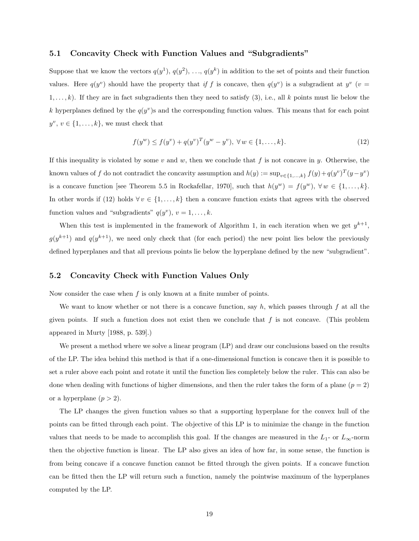#### 5.1 Concavity Check with Function Values and "Subgradients"

Suppose that we know the vectors  $q(y^1), q(y^2), \ldots, q(y^k)$  in addition to the set of points and their function values. Here  $q(y^v)$  should have the property that if f is concave, then  $q(y^v)$  is a subgradient at  $y^v$  ( $v =$  $1, \ldots, k$ ). If they are in fact subgradients then they need to satisfy (3), i.e., all k points must lie below the k hyperplanes defined by the  $q(y^v)$ s and the corresponding function values. This means that for each point  $y^v, v \in \{1, \ldots, k\},$  we must check that

$$
f(y^w) \le f(y^v) + q(y^v)^T (y^w - y^v), \ \forall \, w \in \{1, \dots, k\}.
$$
 (12)

If this inequality is violated by some v and w, then we conclude that f is not concave in y. Otherwise, the known values of f do not contradict the concavity assumption and  $h(y) := \sup_{v \in \{1, ..., k\}} f(y) + q(y^v)^T (y - y^v)$ is a concave function [see Theorem 5.5 in Rockafellar, 1970], such that  $h(y^w) = f(y^w)$ ,  $\forall w \in \{1, ..., k\}$ . In other words if (12) holds  $\forall v \in \{1, ..., k\}$  then a concave function exists that agrees with the observed function values and "subgradients"  $q(y^v)$ ,  $v = 1, \ldots, k$ .

When this test is implemented in the framework of Algorithm 1, in each iteration when we get  $y^{k+1}$ ,  $g(y^{k+1})$  and  $q(y^{k+1})$ , we need only check that (for each period) the new point lies below the previously defined hyperplanes and that all previous points lie below the hyperplane defined by the new "subgradient".

#### 5.2 Concavity Check with Function Values Only

Now consider the case when  $f$  is only known at a finite number of points.

We want to know whether or not there is a concave function, say h, which passes through f at all the given points. If such a function does not exist then we conclude that  $f$  is not concave. (This problem appeared in Murty [1988, p. 539].)

We present a method where we solve a linear program  $(LP)$  and draw our conclusions based on the results of the LP. The idea behind this method is that if a one-dimensional function is concave then it is possible to set a ruler above each point and rotate it until the function lies completely below the ruler. This can also be done when dealing with functions of higher dimensions, and then the ruler takes the form of a plane  $(p = 2)$ or a hyperplane  $(p > 2)$ .

The LP changes the given function values so that a supporting hyperplane for the convex hull of the points can be fitted through each point. The objective of this LP is to minimize the change in the function values that needs to be made to accomplish this goal. If the changes are measured in the  $L_1$ - or  $L_\infty$ -norm then the objective function is linear. The LP also gives an idea of how far, in some sense, the function is from being concave if a concave function cannot be fitted through the given points. If a concave function can be fitted then the LP will return such a function, namely the pointwise maximum of the hyperplanes computed by the LP.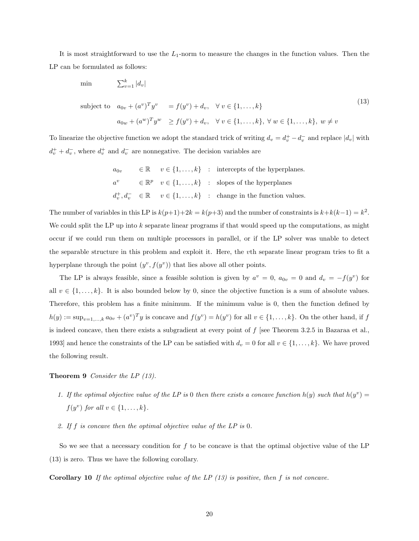It is most straightforward to use the  $L_1$ -norm to measure the changes in the function values. Then the LP can be formulated as follows:

$$
\begin{aligned}\n\min \qquad & \sum_{v=1}^{k} |d_v| \\
\text{subject to} \quad & a_{0v} + (a^v)^T y^v = f(y^v) + d_v, \quad \forall \ v \in \{1, \dots, k\} \n\end{aligned} \tag{13}
$$

$$
a_{0w} + (a^w)^T y^w \ge f(y^v) + d_v, \forall v \in \{1, ..., k\}, \forall w \in \{1, ..., k\}, w \ne v
$$

To linearize the objective function we adopt the standard trick of writing  $d_v = d_v^+ - d_v^-$  and replace  $|d_v|$  with  $d_v^+ + d_v^-$ , where  $d_v^+$  and  $d_v^-$  are nonnegative. The decision variables are

> $a_{0v} \in \mathbb{R} \quad v \in \{1, \ldots, k\} \quad : \text{ intercepts of the hyperplanes.}$  $a^v \in \mathbb{R}^p \quad v \in \{1, \ldots, k\} \quad : \quad \text{slopes of the hyperplanes}$  $d_v^+, d_v^- \in \mathbb{R}$   $v \in \{1, \ldots, k\}$  : change in the function values.

The number of variables in this LP is  $k(p+1)+2k = k(p+3)$  and the number of constraints is  $k+k(k-1) = k^2$ . We could split the LP up into k separate linear programs if that would speed up the computations, as might occur if we could run them on multiple processors in parallel, or if the LP solver was unable to detect the separable structure in this problem and exploit it. Here, the vth separate linear program tries to fit a hyperplane through the point  $(y^v, f(y^v))$  that lies above all other points.

The LP is always feasible, since a feasible solution is given by  $a^v = 0$ ,  $a_{0v} = 0$  and  $d_v = -f(y^v)$  for all  $v \in \{1, \ldots, k\}$ . It is also bounded below by 0, since the objective function is a sum of absolute values. Therefore, this problem has a finite minimum. If the minimum value is 0, then the function defined by  $h(y) := \sup_{v=1,\ldots,k} a_{0v} + (a^v)^T y$  is concave and  $f(y^v) = h(y^v)$  for all  $v \in \{1,\ldots,k\}$ . On the other hand, if f is indeed concave, then there exists a subgradient at every point of f [see Theorem 3.2.5 in Bazaraa et al., 1993] and hence the constraints of the LP can be satisfied with  $d_v = 0$  for all  $v \in \{1, \ldots, k\}$ . We have proved the following result.

Theorem 9 Consider the LP (13).

- 1. If the optimal objective value of the LP is 0 then there exists a concave function  $h(y)$  such that  $h(y^v) =$  $f(y^v)$  for all  $v \in \{1, \ldots, k\}.$
- 2. If f is concave then the optimal objective value of the LP is 0.

So we see that a necessary condition for  $f$  to be concave is that the optimal objective value of the LP (13) is zero. Thus we have the following corollary.

**Corollary 10** If the optimal objective value of the LP  $(13)$  is positive, then f is not concave.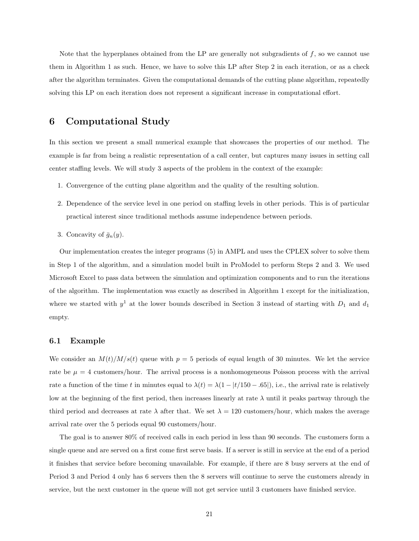Note that the hyperplanes obtained from the LP are generally not subgradients of  $f$ , so we cannot use them in Algorithm 1 as such. Hence, we have to solve this LP after Step 2 in each iteration, or as a check after the algorithm terminates. Given the computational demands of the cutting plane algorithm, repeatedly solving this LP on each iteration does not represent a significant increase in computational effort.

## 6 Computational Study

In this section we present a small numerical example that showcases the properties of our method. The example is far from being a realistic representation of a call center, but captures many issues in setting call center staffing levels. We will study 3 aspects of the problem in the context of the example:

- 1. Convergence of the cutting plane algorithm and the quality of the resulting solution.
- 2. Dependence of the service level in one period on staffing levels in other periods. This is of particular practical interest since traditional methods assume independence between periods.
- 3. Concavity of  $\bar{g}_n(y)$ .

Our implementation creates the integer programs (5) in AMPL and uses the CPLEX solver to solve them in Step 1 of the algorithm, and a simulation model built in ProModel to perform Steps 2 and 3. We used Microsoft Excel to pass data between the simulation and optimization components and to run the iterations of the algorithm. The implementation was exactly as described in Algorithm 1 except for the initialization, where we started with  $y^1$  at the lower bounds described in Section 3 instead of starting with  $D_1$  and  $d_1$ empty.

#### 6.1 Example

We consider an  $M(t)/M/s(t)$  queue with  $p = 5$  periods of equal length of 30 minutes. We let the service rate be  $\mu = 4$  customers/hour. The arrival process is a nonhomogeneous Poisson process with the arrival rate a function of the time t in minutes equal to  $\lambda(t) = \lambda(1 - |t/150 - .65|)$ , i.e., the arrival rate is relatively low at the beginning of the first period, then increases linearly at rate  $\lambda$  until it peaks partway through the third period and decreases at rate  $\lambda$  after that. We set  $\lambda = 120$  customers/hour, which makes the average arrival rate over the 5 periods equal 90 customers/hour.

The goal is to answer 80% of received calls in each period in less than 90 seconds. The customers form a single queue and are served on a first come first serve basis. If a server is still in service at the end of a period it finishes that service before becoming unavailable. For example, if there are 8 busy servers at the end of Period 3 and Period 4 only has 6 servers then the 8 servers will continue to serve the customers already in service, but the next customer in the queue will not get service until 3 customers have finished service.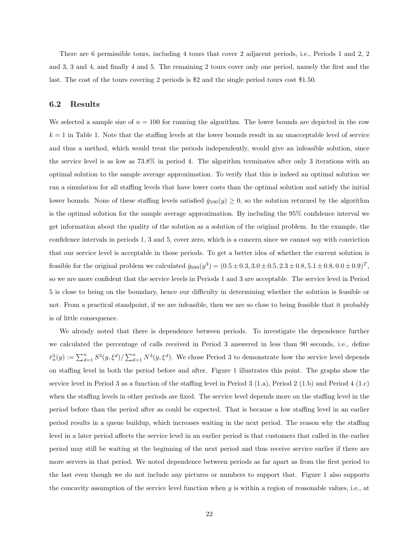There are 6 permissible tours, including 4 tours that cover 2 adjacent periods, i.e., Periods 1 and 2, 2 and 3, 3 and 4, and finally 4 and 5. The remaining 2 tours cover only one period, namely the first and the last. The cost of the tours covering 2 periods is \$2 and the single period tours cost \$1.50.

#### 6.2 Results

We selected a sample size of  $n = 100$  for running the algorithm. The lower bounds are depicted in the row  $k = 1$  in Table 1. Note that the staffing levels at the lower bounds result in an unacceptable level of service and thus a method, which would treat the periods independently, would give an infeasible solution, since the service level is as low as 73.8% in period 4. The algorithm terminates after only 3 iterations with an optimal solution to the sample average approximation. To verify that this is indeed an optimal solution we ran a simulation for all staffing levels that have lower costs than the optimal solution and satisfy the initial lower bounds. None of these staffing levels satisfied  $\bar{g}_{100}(y) \geq 0$ , so the solution returned by the algorithm is the optimal solution for the sample average approximation. By including the 95% confidence interval we get information about the quality of the solution as a solution of the original problem. In the example, the confidence intervals in periods 1, 3 and 5, cover zero, which is a concern since we cannot say with conviction that our service level is acceptable in those periods. To get a better idea of whether the current solution is feasible for the original problem we calculated  $\bar{g}_{999}(y^3) = (0.5 \pm 0.3, 3.0 \pm 0.5, 2.3 \pm 0.8, 5.1 \pm 0.8, 0.0 \pm 0.9)^T$ , so we are more confident that the service levels in Periods 1 and 3 are acceptable. The service level in Period 5 is close to being on the boundary, hence our difficulty in determining whether the solution is feasible or not. From a practical standpoint, if we are infeasible, then we are so close to being feasible that it probably is of little consequence.

We already noted that there is dependence between periods. To investigate the dependence further we calculated the percentage of calls received in Period 3 answered in less than 90 seconds, i.e., define  $\bar{r}_n^3(y) := \sum_{d=1}^n S^3(y, \xi^d) / \sum_{d=1}^n N^3(y, \xi^d)$ . We chose Period 3 to demonstrate how the service level depends on staffing level in both the period before and after. Figure 1 illustrates this point. The graphs show the service level in Period 3 as a function of the staffing level in Period 3 (1.a), Period 2 (1.b) and Period 4 (1.c) when the staffing levels in other periods are fixed. The service level depends more on the staffing level in the period before than the period after as could be expected. That is because a low staffing level in an earlier period results in a queue buildup, which increases waiting in the next period. The reason why the staffing level in a later period affects the service level in an earlier period is that customers that called in the earlier period may still be waiting at the beginning of the next period and thus receive service earlier if there are more servers in that period. We noted dependence between periods as far apart as from the first period to the last even though we do not include any pictures or numbers to support that. Figure 1 also supports the concavity assumption of the service level function when  $y$  is within a region of reasonable values, i.e., at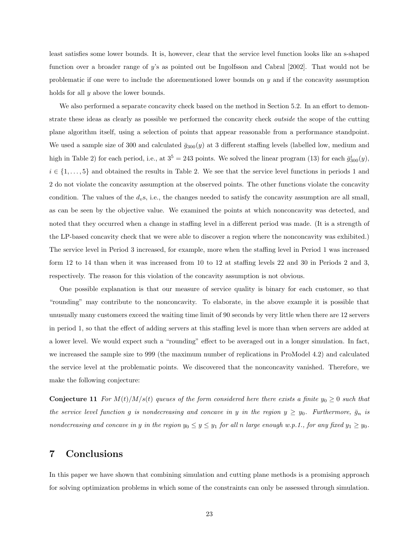least satisfies some lower bounds. It is, however, clear that the service level function looks like an s-shaped function over a broader range of y's as pointed out be Ingolfsson and Cabral [2002]. That would not be problematic if one were to include the aforementioned lower bounds on y and if the concavity assumption holds for all y above the lower bounds.

We also performed a separate concavity check based on the method in Section 5.2. In an effort to demonstrate these ideas as clearly as possible we performed the concavity check *outside* the scope of the cutting plane algorithm itself, using a selection of points that appear reasonable from a performance standpoint. We used a sample size of 300 and calculated  $\bar{g}_{300}(y)$  at 3 different staffing levels (labelled low, medium and high in Table 2) for each period, i.e., at  $3^5 = 243$  points. We solved the linear program (13) for each  $\bar{g}_{300}^i(y)$ ,  $i \in \{1, \ldots, 5\}$  and obtained the results in Table 2. We see that the service level functions in periods 1 and 2 do not violate the concavity assumption at the observed points. The other functions violate the concavity condition. The values of the  $d_v$ s, i.e., the changes needed to satisfy the concavity assumption are all small, as can be seen by the objective value. We examined the points at which nonconcavity was detected, and noted that they occurred when a change in staffing level in a different period was made. (It is a strength of the LP-based concavity check that we were able to discover a region where the nonconcavity was exhibited.) The service level in Period 3 increased, for example, more when the staffing level in Period 1 was increased form 12 to 14 than when it was increased from 10 to 12 at staffing levels 22 and 30 in Periods 2 and 3, respectively. The reason for this violation of the concavity assumption is not obvious.

One possible explanation is that our measure of service quality is binary for each customer, so that "rounding" may contribute to the nonconcavity. To elaborate, in the above example it is possible that unusually many customers exceed the waiting time limit of 90 seconds by very little when there are 12 servers in period 1, so that the effect of adding servers at this staffing level is more than when servers are added at a lower level. We would expect such a "rounding" effect to be averaged out in a longer simulation. In fact, we increased the sample size to 999 (the maximum number of replications in ProModel 4.2) and calculated the service level at the problematic points. We discovered that the nonconcavity vanished. Therefore, we make the following conjecture:

**Conjecture 11** For  $M(t)/M/s(t)$  queues of the form considered here there exists a finite  $y_0 \geq 0$  such that the service level function g is nondecreasing and concave in y in the region  $y \ge y_0$ . Furthermore,  $\bar{g}_n$  is nondecreasing and concave in y in the region  $y_0 \le y \le y_1$  for all n large enough w.p.1., for any fixed  $y_1 \ge y_0$ .

## 7 Conclusions

In this paper we have shown that combining simulation and cutting plane methods is a promising approach for solving optimization problems in which some of the constraints can only be assessed through simulation.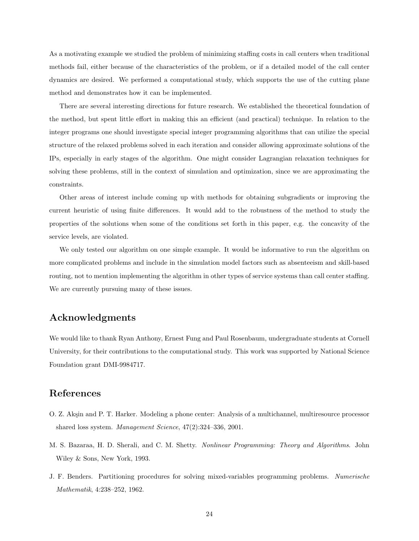As a motivating example we studied the problem of minimizing staffing costs in call centers when traditional methods fail, either because of the characteristics of the problem, or if a detailed model of the call center dynamics are desired. We performed a computational study, which supports the use of the cutting plane method and demonstrates how it can be implemented.

There are several interesting directions for future research. We established the theoretical foundation of the method, but spent little effort in making this an efficient (and practical) technique. In relation to the integer programs one should investigate special integer programming algorithms that can utilize the special structure of the relaxed problems solved in each iteration and consider allowing approximate solutions of the IPs, especially in early stages of the algorithm. One might consider Lagrangian relaxation techniques for solving these problems, still in the context of simulation and optimization, since we are approximating the constraints.

Other areas of interest include coming up with methods for obtaining subgradients or improving the current heuristic of using finite differences. It would add to the robustness of the method to study the properties of the solutions when some of the conditions set forth in this paper, e.g. the concavity of the service levels, are violated.

We only tested our algorithm on one simple example. It would be informative to run the algorithm on more complicated problems and include in the simulation model factors such as absenteeism and skill-based routing, not to mention implementing the algorithm in other types of service systems than call center staffing. We are currently pursuing many of these issues.

## Acknowledgments

We would like to thank Ryan Anthony, Ernest Fung and Paul Rosenbaum, undergraduate students at Cornell University, for their contributions to the computational study. This work was supported by National Science Foundation grant DMI-9984717.

## References

- O. Z. Aksin and P. T. Harker. Modeling a phone center: Analysis of a multichannel, multiresource processor shared loss system. Management Science, 47(2):324–336, 2001.
- M. S. Bazaraa, H. D. Sherali, and C. M. Shetty. Nonlinear Programming: Theory and Algorithms. John Wiley & Sons, New York, 1993.
- J. F. Benders. Partitioning procedures for solving mixed-variables programming problems. Numerische Mathematik, 4:238–252, 1962.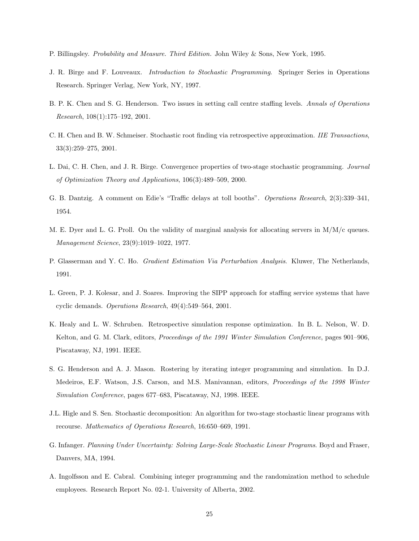- P. Billingsley. Probability and Measure. Third Edition. John Wiley & Sons, New York, 1995.
- J. R. Birge and F. Louveaux. Introduction to Stochastic Programming. Springer Series in Operations Research. Springer Verlag, New York, NY, 1997.
- B. P. K. Chen and S. G. Henderson. Two issues in setting call centre staffing levels. Annals of Operations Research, 108(1):175–192, 2001.
- C. H. Chen and B. W. Schmeiser. Stochastic root finding via retrospective approximation. IIE Transactions, 33(3):259–275, 2001.
- L. Dai, C. H. Chen, and J. R. Birge. Convergence properties of two-stage stochastic programming. Journal of Optimization Theory and Applications, 106(3):489–509, 2000.
- G. B. Dantzig. A comment on Edie's "Traffic delays at toll booths". Operations Research, 2(3):339–341, 1954.
- M. E. Dyer and L. G. Proll. On the validity of marginal analysis for allocating servers in  $M/M/c$  queues. Management Science, 23(9):1019–1022, 1977.
- P. Glasserman and Y. C. Ho. Gradient Estimation Via Perturbation Analysis. Kluwer, The Netherlands, 1991.
- L. Green, P. J. Kolesar, and J. Soares. Improving the SIPP approach for staffing service systems that have cyclic demands. Operations Research, 49(4):549–564, 2001.
- K. Healy and L. W. Schruben. Retrospective simulation response optimization. In B. L. Nelson, W. D. Kelton, and G. M. Clark, editors, Proceedings of the 1991 Winter Simulation Conference, pages 901–906, Piscataway, NJ, 1991. IEEE.
- S. G. Henderson and A. J. Mason. Rostering by iterating integer programming and simulation. In D.J. Medeiros, E.F. Watson, J.S. Carson, and M.S. Manivannan, editors, Proceedings of the 1998 Winter Simulation Conference, pages 677–683, Piscataway, NJ, 1998. IEEE.
- J.L. Higle and S. Sen. Stochastic decomposition: An algorithm for two-stage stochastic linear programs with recourse. Mathematics of Operations Research, 16:650–669, 1991.
- G. Infanger. Planning Under Uncertainty: Solving Large-Scale Stochastic Linear Programs. Boyd and Fraser, Danvers, MA, 1994.
- A. Ingolfsson and E. Cabral. Combining integer programming and the randomization method to schedule employees. Research Report No. 02-1. University of Alberta, 2002.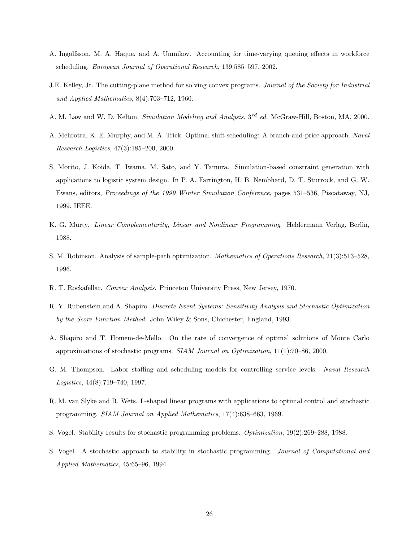- A. Ingolfsson, M. A. Haque, and A. Umnikov. Accounting for time-varying queuing effects in workforce scheduling. European Journal of Operational Research, 139:585–597, 2002.
- J.E. Kelley, Jr. The cutting-plane method for solving convex programs. Journal of the Society for Industrial and Applied Mathematics, 8(4):703–712, 1960.
- A. M. Law and W. D. Kelton. Simulation Modeling and Analysis. 3<sup>rd</sup> ed. McGraw-Hill, Boston, MA, 2000.
- A. Mehrotra, K. E. Murphy, and M. A. Trick. Optimal shift scheduling: A branch-and-price approach. Naval Research Logistics, 47(3):185–200, 2000.
- S. Morito, J. Koida, T. Iwama, M. Sato, and Y. Tamura. Simulation-based constraint generation with applications to logistic system design. In P. A. Farrington, H. B. Nembhard, D. T. Sturrock, and G. W. Ewans, editors, Proceedings of the 1999 Winter Simulation Conference, pages 531–536, Piscataway, NJ, 1999. IEEE.
- K. G. Murty. Linear Complementarity, Linear and Nonlinear Programming. Heldermann Verlag, Berlin, 1988.
- S. M. Robinson. Analysis of sample-path optimization. Mathematics of Operations Research, 21(3):513–528, 1996.
- R. T. Rockafellar. Convex Analysis. Princeton University Press, New Jersey, 1970.
- R. Y. Rubenstein and A. Shapiro. Discrete Event Systems: Sensitivity Analysis and Stochastic Optimization by the Score Function Method. John Wiley & Sons, Chichester, England, 1993.
- A. Shapiro and T. Homem-de-Mello. On the rate of convergence of optimal solutions of Monte Carlo approximations of stochastic programs. SIAM Journal on Optimization, 11(1):70–86, 2000.
- G. M. Thompson. Labor staffing and scheduling models for controlling service levels. Naval Research Logistics, 44(8):719–740, 1997.
- R. M. van Slyke and R. Wets. L-shaped linear programs with applications to optimal control and stochastic programming. SIAM Journal on Applied Mathematics, 17(4):638–663, 1969.
- S. Vogel. Stability results for stochastic programming problems. Optimization, 19(2):269–288, 1988.
- S. Vogel. A stochastic approach to stability in stochastic programming. Journal of Computational and Applied Mathematics, 45:65–96, 1994.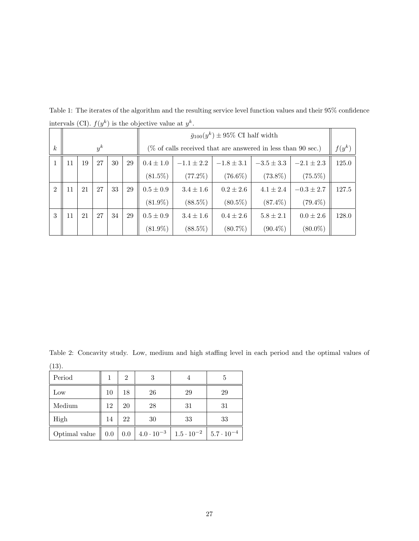|                |                                                                          |    |    |    |    | $\bar{g}_{100}(y^k) \pm 95\%$ CI half width |                |                |                |                |       |
|----------------|--------------------------------------------------------------------------|----|----|----|----|---------------------------------------------|----------------|----------------|----------------|----------------|-------|
| k <sub>i</sub> | $y^k$<br>$(\%$ of calls received that are answered in less than 90 sec.) |    |    |    |    |                                             |                |                |                | $f(y^k)$       |       |
|                | 11                                                                       | 19 | 27 | 30 | 29 | $0.4 \pm 1.0$                               | $-1.1 \pm 2.2$ | $-1.8 \pm 3.1$ | $-3.5 \pm 3.3$ | $-2.1 \pm 2.3$ | 125.0 |
|                |                                                                          |    |    |    |    | $(81.5\%)$                                  | $(77.2\%)$     | $(76.6\%)$     | $(73.8\%)$     | $(75.5\%)$     |       |
| $\mathfrak{D}$ | 11                                                                       | 21 | 27 | 33 | 29 | $0.5 \pm 0.9$                               | $3.4 \pm 1.6$  | $0.2 \pm 2.6$  | $4.1 \pm 2.4$  | $-0.3 \pm 2.7$ | 127.5 |
|                |                                                                          |    |    |    |    | $(81.9\%)$                                  | $(88.5\%)$     | $(80.5\%)$     | $(87.4\%)$     | $(79.4\%)$     |       |
| 3              | 11                                                                       | 21 | 27 | 34 | 29 | $0.5 \pm 0.9$                               | $3.4 \pm 1.6$  | $0.4 \pm 2.6$  | $5.8 \pm 2.1$  | $0.0 \pm 2.6$  | 128.0 |
|                |                                                                          |    |    |    |    | $(81.9\%)$                                  | $(88.5\%)$     | $(80.7\%)$     | $(90.4\%)$     | $(80.0\%)$     |       |

Table 1: The iterates of the algorithm and the resulting service level function values and their 95% confidence intervals (CI).  $f(y^k)$  is the objective value at  $y^k$ .

Table 2: Concavity study. Low, medium and high staffing level in each period and the optimal values of (13).

| Period        |         | $\overline{2}$                    | 3                                                                                |    | 5  |
|---------------|---------|-----------------------------------|----------------------------------------------------------------------------------|----|----|
| Low           | 10      | 18                                | 26                                                                               | 29 | 29 |
| Medium        | 12      | 20                                | 28                                                                               | 31 | 31 |
| High          | 14      | 22                                | 30                                                                               | 33 | 33 |
| Optimal value | $0.0\,$ | $\hspace{.1cm} 0.0 \hspace{.1cm}$ | $\vert$ 4.0 · 10 <sup>-3</sup>   1.5 · 10 <sup>-2</sup>   5.7 · 10 <sup>-4</sup> |    |    |